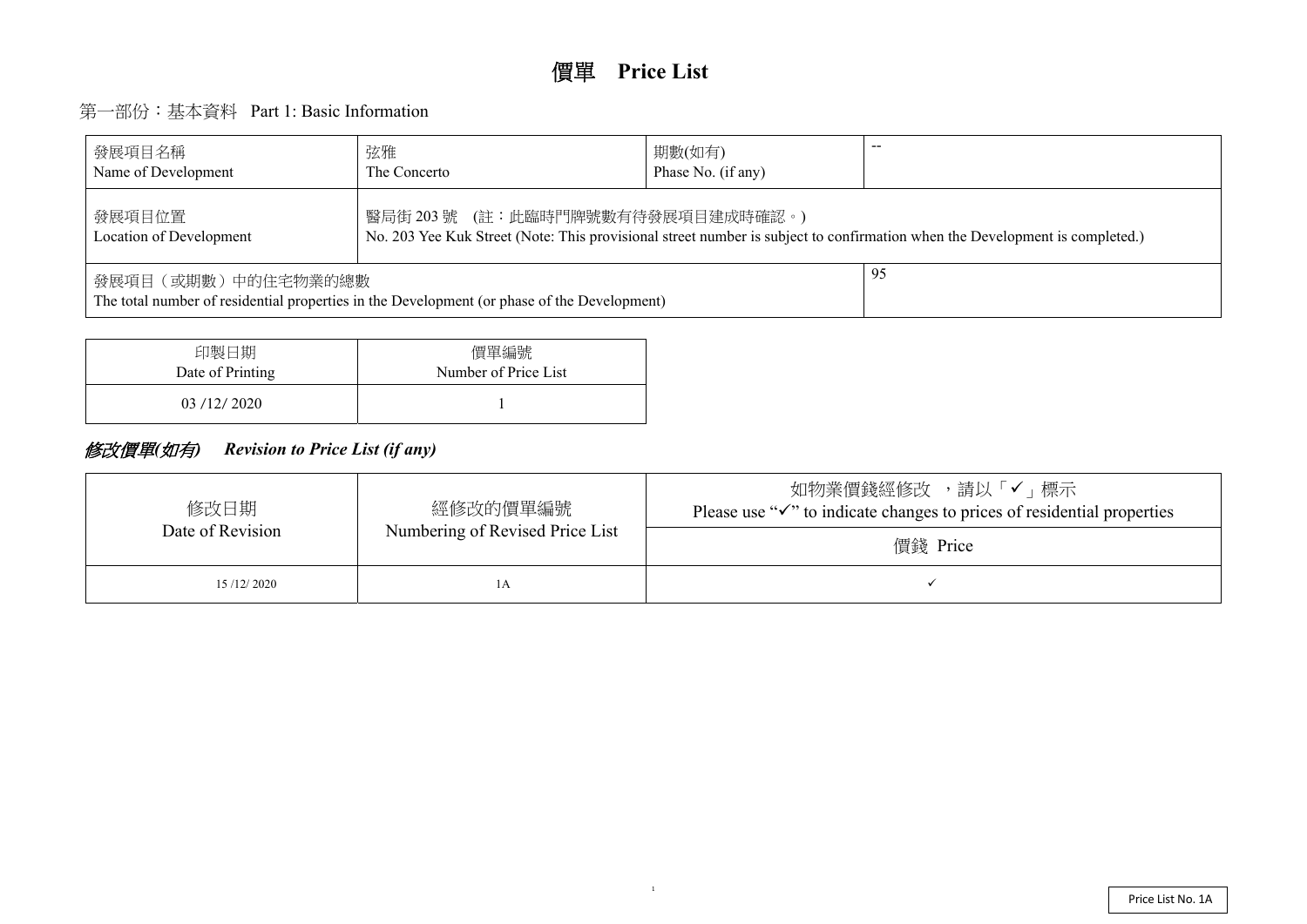# 第一部份:基本資料 Part 1: Basic Information

| 發展項目名稱<br>Name of Development                                                                                                                                                 | 弦雅<br>The Concerto | 期數(如有)<br>Phase No. (if any) |  |  |  |  |  |  |  |  |
|-------------------------------------------------------------------------------------------------------------------------------------------------------------------------------|--------------------|------------------------------|--|--|--|--|--|--|--|--|
| 醫局街 203 號 (註:此臨時門牌號數有待發展項目建成時確認。)<br>發展項目位置<br>No. 203 Yee Kuk Street (Note: This provisional street number is subject to confirmation when the De<br>Location of Development |                    |                              |  |  |  |  |  |  |  |  |
| 發展項目(或期數)中的住宅物業的總數<br>The total number of residential properties in the Development (or phase of the Development)                                                             |                    |                              |  |  |  |  |  |  |  |  |

| 印製日期             | 價單編號                 |
|------------------|----------------------|
| Date of Printing | Number of Price List |
| 03/12/2020       |                      |

## 修改價單*(*如有*) Revision to Price List (if any)*

| 修改日期<br>Date of Revision | 經修改的價單編號<br>Numbering of Revised Price List | 請し<br>如物業價錢經修改<br>Please use " $\checkmark$ " to indicate changes to pric<br>價錢 Price |
|--------------------------|---------------------------------------------|---------------------------------------------------------------------------------------|
| 15/12/2020               | ΙA                                          |                                                                                       |

evelopment is completed.)

メ「√」標示 ees of residential properties

1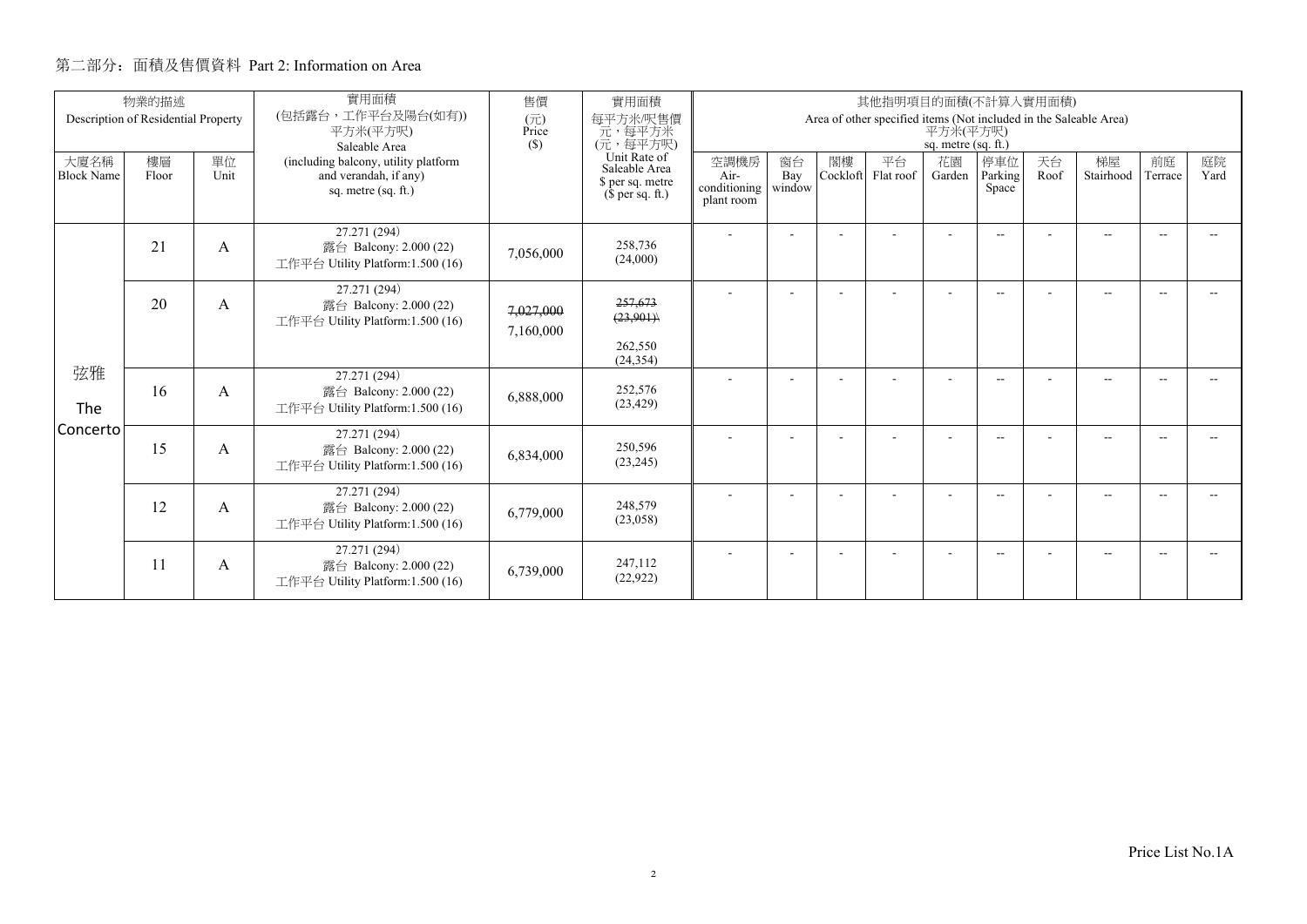|                           | 物業的描述                               |            | 實用面積                                                                                 | 售價                     | 實用面積                                                                                                    | 其他指明項目的面積(不計算入實用面積)                                                                                    |                     |                |                 |              |                          |            |                          |               |            |  |
|---------------------------|-------------------------------------|------------|--------------------------------------------------------------------------------------|------------------------|---------------------------------------------------------------------------------------------------------|--------------------------------------------------------------------------------------------------------|---------------------|----------------|-----------------|--------------|--------------------------|------------|--------------------------|---------------|------------|--|
|                           | Description of Residential Property |            | (包括露台,工作平台及陽台(如有))<br>平方米(平方呎)<br>Saleable Area                                      | (元)<br>Price<br>(S)    | 每平方米/呎售價<br>元,每平方米<br>(元,每平方呎)<br>Unit Rate of<br>Saleable Area<br>\$ per sq. metre<br>$$$ per sq. ft.) | Area of other specified items (Not included in the Saleable Area)<br>平方米(平方呎)<br>sq. metre $(sq. ft.)$ |                     |                |                 |              |                          |            |                          |               |            |  |
| 大廈名稱<br><b>Block Name</b> | 樓層<br>Floor                         | 單位<br>Unit | (including balcony, utility platform<br>and verandah, if any)<br>sq. metre (sq. ft.) |                        |                                                                                                         | 空調機房<br>Air-<br>conditioning<br>plant room                                                             | 窗台<br>Bay<br>window | 閣樓<br>Cockloft | 平台<br>Flat roof | 花園<br>Garden | 停車位<br>Parking<br>Space  | 天台<br>Roof | 梯屋<br>Stairhood          | 前庭<br>Terrace | 庭院<br>Yard |  |
|                           | 21                                  | А          | 27.271 (294)<br>露台 Balcony: 2.000 (22)<br>工作平台 Utility Platform:1.500 (16)           | 7,056,000              | 258,736<br>(24,000)                                                                                     |                                                                                                        |                     |                |                 |              | $\sim$ $\sim$            |            | $\overline{\phantom{a}}$ | $\sim$        |            |  |
|                           | 20                                  | A          | 27.271 (294)<br>露台 Balcony: 2.000 (22)<br>工作平台 Utility Platform:1.500 (16)           | 7,027,000<br>7,160,000 | 257,673<br>(23,901)<br>262,550<br>(24, 354)                                                             |                                                                                                        |                     |                |                 |              | $-$                      |            | $-$                      |               |            |  |
| 弦雅<br>The                 | 16                                  | A          | 27.271 (294)<br>露台 Balcony: 2.000 (22)<br>工作平台 Utility Platform: 1.500 (16)          | 6,888,000              | 252,576<br>(23, 429)                                                                                    |                                                                                                        |                     |                |                 |              | $-1$                     |            | $\sim$                   | -44           |            |  |
| Concerto                  | 15                                  | A          | 27.271 (294)<br>露台 Balcony: 2.000 (22)<br>工作平台 Utility Platform:1.500 (16)           | 6,834,000              | 250,596<br>(23, 245)                                                                                    |                                                                                                        |                     |                |                 |              | $\overline{\phantom{a}}$ |            | --                       |               |            |  |
|                           | 12                                  | А          | 27.271 (294)<br>露台 Balcony: 2.000 (22)<br>工作平台 Utility Platform:1.500 (16)           | 6,779,000              | 248,579<br>(23,058)                                                                                     |                                                                                                        |                     |                |                 |              | $\frac{1}{2}$            |            | $-$                      |               |            |  |
|                           | 11                                  | A          | 27.271 (294)<br>露台 Balcony: 2.000 (22)<br>工作平台 Utility Platform:1.500 (16)           | 6,739,000              | 247,112<br>(22, 922)                                                                                    |                                                                                                        |                     |                |                 |              | $-$                      |            |                          |               |            |  |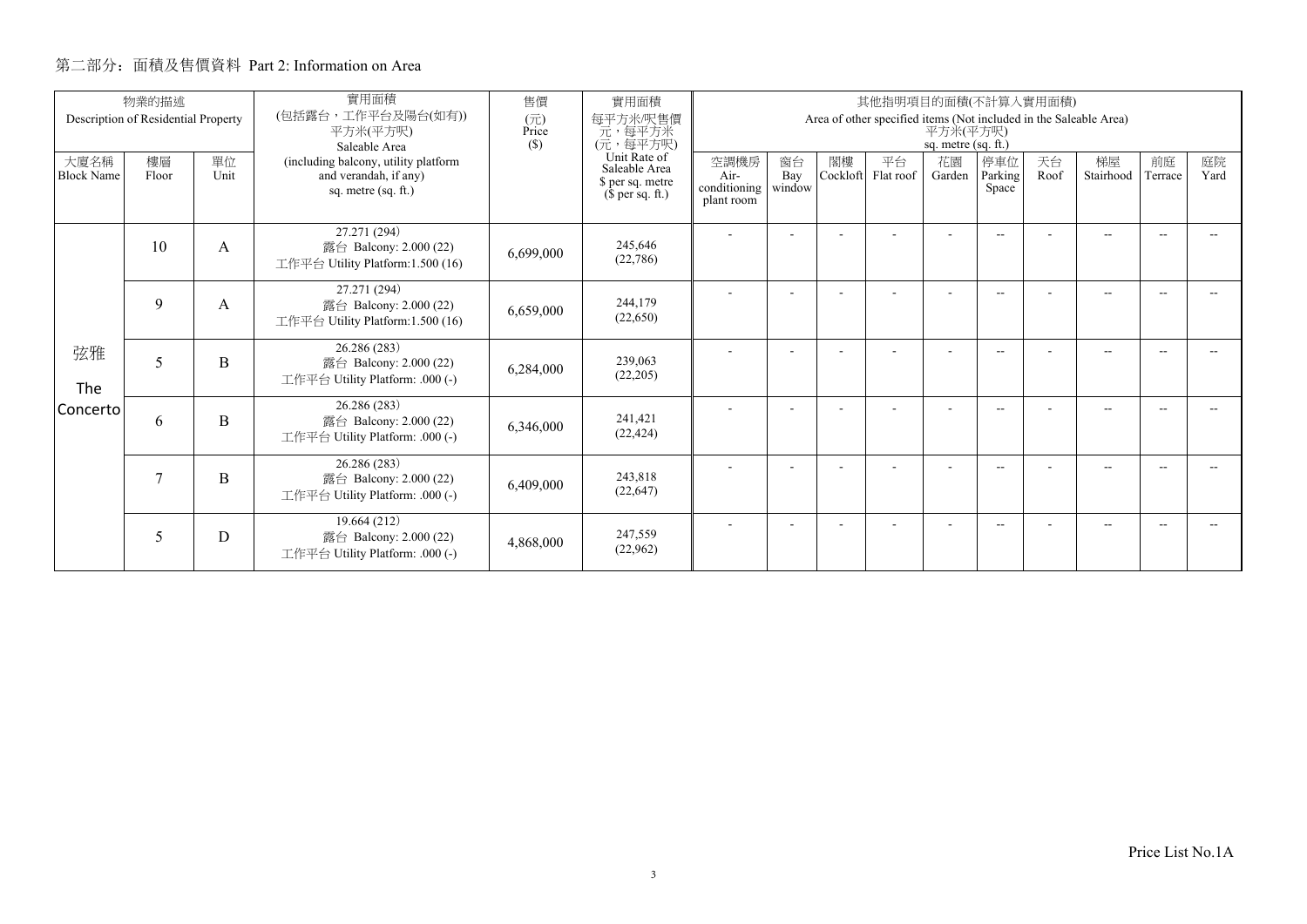|                           | 物業的描述                               |            | 實用面積                                                                                 | 售價                                                                    | 實用面積                                       | 其他指明項目的面積(不計算入實用面積)                                                                                  |                          |                 |              |                         |                          |                 |                |            |  |  |  |
|---------------------------|-------------------------------------|------------|--------------------------------------------------------------------------------------|-----------------------------------------------------------------------|--------------------------------------------|------------------------------------------------------------------------------------------------------|--------------------------|-----------------|--------------|-------------------------|--------------------------|-----------------|----------------|------------|--|--|--|
|                           | Description of Residential Property |            | (包括露台,工作平台及陽台(如有))<br>平方米(平方呎)<br>Saleable Area                                      | (元)<br>Price<br>$(\$)$                                                | 每平方米/呎售價<br>一元, 每平方米<br>(元, 每平方呎)          | Area of other specified items (Not included in the Saleable Area)<br>平方米(平方呎)<br>sq. metre (sq. ft.) |                          |                 |              |                         |                          |                 |                |            |  |  |  |
| 大廈名稱<br><b>Block Name</b> | 樓層<br>Floor                         | 單位<br>Unit | (including balcony, utility platform<br>and verandah, if any)<br>sq. metre (sq. ft.) | Unit Rate of<br>Saleable Area<br>\$ per sq. metre<br>$$$ per sq. ft.) | 空調機房<br>Air-<br>conditioning<br>plant room | 窗台<br>Bay<br>window                                                                                  | 閣樓<br>Cockloft           | 平台<br>Flat roof | 花園<br>Garden | 停車位<br>Parking<br>Space | 天台<br>Roof               | 梯屋<br>Stairhood | 前庭<br>Terrace  | 庭院<br>Yard |  |  |  |
|                           | 10                                  | A          | 27.271 (294)<br>露台 Balcony: 2.000 (22)<br>工作平台 Utility Platform:1.500 (16)           | 6,699,000                                                             | 245,646<br>(22, 786)                       |                                                                                                      | ٠                        |                 |              |                         | $-$                      |                 | $-$            | $\sim$     |  |  |  |
|                           | 9                                   | A          | 27.271 (294)<br>露台 Balcony: 2.000 (22)<br>工作平台 Utility Platform:1.500 (16)           | 6,659,000                                                             | 244,179<br>(22,650)                        |                                                                                                      |                          |                 |              |                         | $\overline{\phantom{a}}$ |                 | $\overline{a}$ |            |  |  |  |
| 弦雅<br>The                 | 5                                   | B          | 26.286 (283)<br>露台 Balcony: 2.000 (22)<br>工作平台 Utility Platform: .000 (-)            | 6,284,000                                                             | 239,063<br>(22,205)                        |                                                                                                      | ۰                        |                 |              |                         | $\overline{\phantom{a}}$ |                 | $-$            | --         |  |  |  |
| Concerto                  | 6                                   | B          | 26.286 (283)<br>露台 Balcony: 2.000 (22)<br>工作平台 Utility Platform: .000 (-)            | 6,346,000                                                             | 241,421<br>(22, 424)                       |                                                                                                      | $\overline{\phantom{0}}$ |                 |              |                         | $\overline{\phantom{a}}$ |                 | $-$            |            |  |  |  |
|                           | 7                                   | B          | 26.286 (283)<br>露台 Balcony: 2.000 (22)<br>工作平台 Utility Platform: .000 (-)            | 6,409,000                                                             | 243,818<br>(22, 647)                       |                                                                                                      | ٠                        |                 |              |                         | $\frac{1}{2}$            |                 | $-$            | -44        |  |  |  |
|                           | 5                                   | D          | 19.664 (212)<br>露台 Balcony: 2.000 (22)<br>工作平台 Utility Platform: .000 (-)            | 4,868,000                                                             | 247,559<br>(22,962)                        |                                                                                                      |                          |                 |              |                         | $-$                      |                 | --             |            |  |  |  |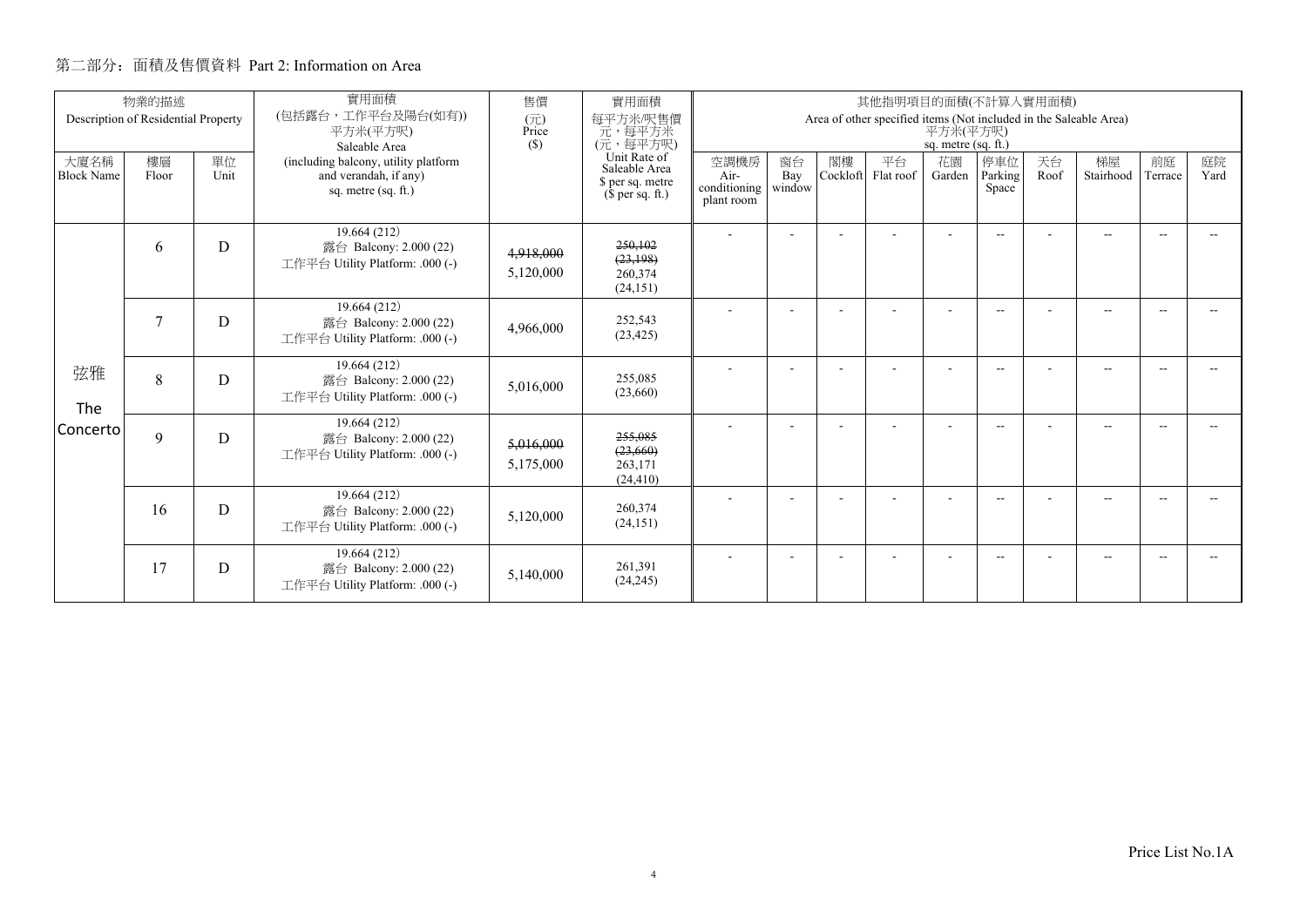|                           | 物業的描述                               |            | 實用面積                                                                                 | 售價                                                                    | 實用面積                                         |                                                                                                        |                |                 | 其他指明項目的面積(不計算入實用面積) |                          |                          |                 |               |            |  |
|---------------------------|-------------------------------------|------------|--------------------------------------------------------------------------------------|-----------------------------------------------------------------------|----------------------------------------------|--------------------------------------------------------------------------------------------------------|----------------|-----------------|---------------------|--------------------------|--------------------------|-----------------|---------------|------------|--|
|                           | Description of Residential Property |            | (包括露台,工作平台及陽台(如有))<br>平方米(平方呎)<br>Saleable Area                                      | $(\overline{\pi})$<br>Price<br>(S)                                    | 每平方米/呎售價<br>元,每平方米<br>(元,每平方呎)               | Area of other specified items (Not included in the Saleable Area)<br>平方米(平方呎)<br>sq. metre $(sq, ft.)$ |                |                 |                     |                          |                          |                 |               |            |  |
| 大廈名稱<br><b>Block Name</b> | 樓層<br>Floor                         | 單位<br>Unit | (including balcony, utility platform<br>and verandah, if any)<br>sq. metre (sq. ft.) | Unit Rate of<br>Saleable Area<br>\$ per sq. metre<br>$$$ per sq. ft.) | 空調機房<br>Air-<br>conditioning<br>plant room   | 窗台<br>Bay<br>window                                                                                    | 閣樓<br>Cockloft | 平台<br>Flat roof | 花園<br>Garden        | 停車位<br>Parking<br>Space  | 天台<br>Roof               | 梯屋<br>Stairhood | 前庭<br>Terrace | 庭院<br>Yard |  |
|                           | 6                                   | D          | 19.664 (212)<br>露台 Balcony: 2.000 (22)<br>工作平台 Utility Platform: .000 (-)            | 4,918,000<br>5,120,000                                                | 250,102<br>(23, 198)<br>260,374<br>(24, 151) |                                                                                                        |                |                 |                     |                          | $\overline{\phantom{a}}$ |                 | $\sim$        |            |  |
|                           | 7                                   | D          | 19.664 (212)<br>露台 Balcony: 2.000 (22)<br>工作平台 Utility Platform: .000 (-)            | 4,966,000                                                             | 252,543<br>(23, 425)                         |                                                                                                        |                |                 |                     |                          | $\overline{\phantom{a}}$ |                 | $-$           | -44        |  |
| 弦雅<br>The                 | 8                                   | D          | 19.664 (212)<br>露台 Balcony: 2.000 (22)<br>工作平台 Utility Platform: .000 (-)            | 5,016,000                                                             | 255,085<br>(23,660)                          |                                                                                                        |                |                 |                     |                          | $\overline{\phantom{a}}$ |                 | $-$           |            |  |
| Concerto                  | $\mathbf Q$                         | D          | 19.664 (212)<br>露台 Balcony: 2.000 (22)<br>工作平台 Utility Platform: .000 (-)            | 5,016,000<br>5,175,000                                                | 255,085<br>(23, 660)<br>263,171<br>(24, 410) |                                                                                                        |                |                 |                     |                          | $\sim$                   |                 | $-$           |            |  |
|                           | 16                                  | D          | 19.664(212)<br>露台 Balcony: 2.000 (22)<br>工作平台 Utility Platform: .000 (-)             | 5,120,000                                                             | 260,374<br>(24, 151)                         |                                                                                                        |                |                 |                     |                          | $-$                      |                 | $-$           |            |  |
|                           | 17                                  | D          | 19.664 (212)<br>露台 Balcony: 2.000 (22)<br>工作平台 Utility Platform: .000 (-)            | 5,140,000                                                             | 261,391<br>(24, 245)                         |                                                                                                        |                |                 |                     | $\overline{\phantom{a}}$ | $\overline{\phantom{a}}$ |                 | $-$           |            |  |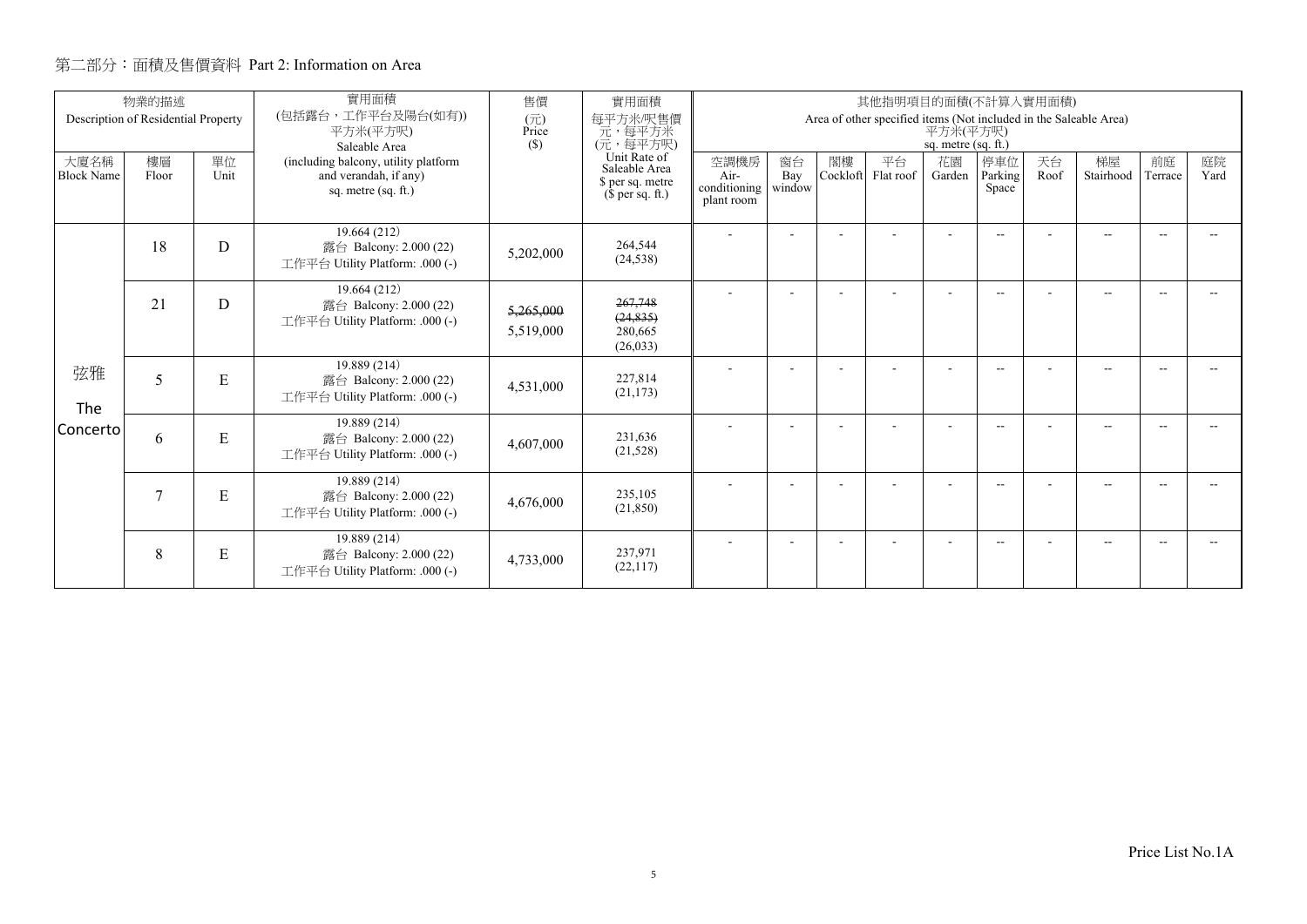|                           | 物業的描述                               |            | 實用面積                                                                                 | 售價                                                                    | 實用面積                                        |                     |                |                 | 其他指明項目的面積(不計算入實用面積)                                               |                                   |                          |                 |               |            |  |
|---------------------------|-------------------------------------|------------|--------------------------------------------------------------------------------------|-----------------------------------------------------------------------|---------------------------------------------|---------------------|----------------|-----------------|-------------------------------------------------------------------|-----------------------------------|--------------------------|-----------------|---------------|------------|--|
|                           | Description of Residential Property |            | (包括露台,工作平台及陽台(如有))<br>平方米(平方呎)<br>Saleable Area                                      | (元)<br>Price<br>$(\$)$                                                | 每平方米/呎售價<br>元,每平方米<br>(元,每平方呎)              |                     |                |                 | Area of other specified items (Not included in the Saleable Area) | 平方米(平方呎)<br>sq. metre $(sq. ft.)$ |                          |                 |               |            |  |
| 大廈名稱<br><b>Block Name</b> | 樓層<br>Floor                         | 單位<br>Unit | (including balcony, utility platform<br>and verandah, if any)<br>sq. metre (sq. ft.) | Unit Rate of<br>Saleable Area<br>\$ per sq. metre<br>$$$ per sq. ft.) | 空調機房<br>Air-<br>conditioning<br>plant room  | 窗台<br>Bay<br>window | 閣樓<br>Cockloft | 平台<br>Flat roof | 花園<br>Garden                                                      | 停車位<br>Parking<br>Space           | 天台<br>Roof               | 梯屋<br>Stairhood | 前庭<br>Terrace | 庭院<br>Yard |  |
|                           | 18                                  | D          | 19.664 (212)<br>露台 Balcony: 2.000 (22)<br>工作平台 Utility Platform: .000 (-)            | 5,202,000                                                             | 264,544<br>(24, 538)                        |                     |                |                 |                                                                   | $\overline{\phantom{a}}$          | $\overline{\phantom{a}}$ |                 | $-$           |            |  |
|                           | 21                                  | D          | 19.664 (212)<br>露台 Balcony: 2.000 (22)<br>工作平台 Utility Platform: .000 (-)            | 5,265,000<br>5,519,000                                                | 267,748<br>(24, 835)<br>280,665<br>(26,033) |                     |                |                 |                                                                   |                                   | $\overline{\phantom{a}}$ |                 | $-$           | -44        |  |
| 弦雅<br>The                 | 5                                   | ${\bf E}$  | 19.889 (214)<br>露台 Balcony: 2.000 (22)<br>工作平台 Utility Platform: .000 (-)            | 4,531,000                                                             | 227,814<br>(21, 173)                        |                     |                |                 |                                                                   | $\overline{\phantom{a}}$          | $-$                      |                 | $-$           |            |  |
| Concerto                  | 6                                   | ${\bf E}$  | 19.889 (214)<br>露台 Balcony: 2.000 (22)<br>工作平台 Utility Platform: .000 (-)            | 4,607,000                                                             | 231.636<br>(21, 528)                        |                     |                |                 |                                                                   |                                   | $\overline{\phantom{a}}$ |                 | $-$           | -44        |  |
|                           |                                     | ${\bf E}$  | 19.889 (214)<br>露台 Balcony: 2.000 (22)<br>工作平台 Utility Platform: .000 (-)            | 4,676,000                                                             | 235,105<br>(21, 850)                        |                     |                |                 |                                                                   |                                   | $\overline{\phantom{a}}$ |                 | $-$           |            |  |
|                           | 8                                   | E          | 19.889 (214)<br>露台 Balcony: 2.000 (22)<br>工作平台 Utility Platform: .000 (-)            | 4,733,000                                                             | 237,971<br>(22, 117)                        |                     |                |                 |                                                                   | ٠                                 | $-$                      |                 | $-$           | --         |  |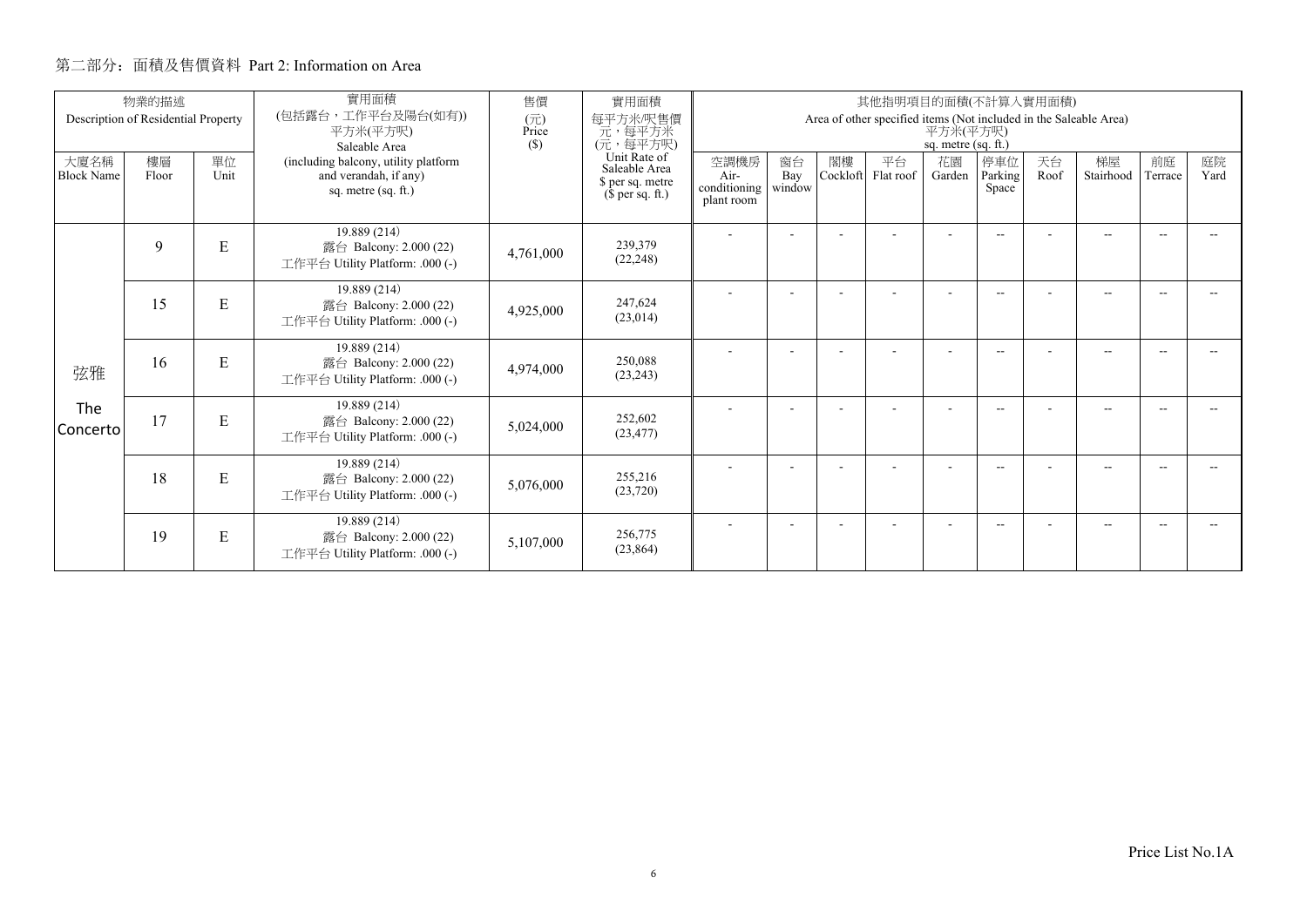|                           | 物業的描述                               |            | 實用面積<br>(包括露台,工作平台及陽台(如有))                                                           | 售價                  | 實用面積<br>每平方米/呎售價                                                      |                                                                                                      |                     |                | 其他指明項目的面積(不計算入實用面積) |                          |                          |            |                 |               |            |
|---------------------------|-------------------------------------|------------|--------------------------------------------------------------------------------------|---------------------|-----------------------------------------------------------------------|------------------------------------------------------------------------------------------------------|---------------------|----------------|---------------------|--------------------------|--------------------------|------------|-----------------|---------------|------------|
|                           | Description of Residential Property |            | 平方米(平方呎)<br>Saleable Area                                                            | (元)<br>Price<br>(S) | 元, 每平方米<br>(元, 每平方呎)                                                  | Area of other specified items (Not included in the Saleable Area)<br>平方米(平方呎)<br>sq. metre (sq. ft.) |                     |                |                     |                          |                          |            |                 |               |            |
| 大廈名稱<br><b>Block Name</b> | 樓層<br>Floor                         | 單位<br>Unit | (including balcony, utility platform<br>and verandah, if any)<br>sq. metre (sq. ft.) |                     | Unit Rate of<br>Saleable Area<br>\$ per sq. metre<br>$$$ per sq. ft.) | 空調機房<br>Air-<br>conditioning  <br>plant room                                                         | 窗台<br>Bay<br>window | 閣樓<br>Cockloft | 平台<br>Flat roof     | 花園<br>Garden             | 停車位<br>Parking<br>Space  | 天台<br>Roof | 梯屋<br>Stairhood | 前庭<br>Terrace | 庭院<br>Yard |
|                           | 9                                   | ${\bf E}$  | 19.889 (214)<br>露台 Balcony: 2.000 (22)<br>工作平台 Utility Platform: .000 (-)            | 4,761,000           | 239,379<br>(22, 248)                                                  |                                                                                                      | ٠                   |                |                     | $\overline{\phantom{a}}$ | $-$                      |            | $-$             | $\sim$        |            |
|                           | 15                                  | ${\bf E}$  | 19.889 (214)<br>露台 Balcony: 2.000 (22)<br>工作平台 Utility Platform: .000 (-)            | 4,925,000           | 247,624<br>(23,014)                                                   |                                                                                                      |                     |                |                     |                          | $\overline{\phantom{a}}$ |            | --              |               |            |
| 弦雅                        | 16                                  | E          | 19.889 (214)<br>露台 Balcony: 2.000 (22)<br>工作平台 Utility Platform: .000 (-)            | 4,974,000           | 250.088<br>(23, 243)                                                  |                                                                                                      |                     |                |                     | $\overline{\phantom{a}}$ | $\overline{\phantom{a}}$ |            | $-$             | --            |            |
| The<br>Concerto           | 17                                  | ${\bf E}$  | 19.889 (214)<br>露台 Balcony: 2.000 (22)<br>工作平台 Utility Platform: .000 (-)            | 5,024,000           | 252,602<br>(23, 477)                                                  |                                                                                                      |                     |                |                     |                          | $\overline{\phantom{a}}$ |            | $-$             |               |            |
|                           | 18                                  | E          | 19.889 (214)<br>露台 Balcony: 2.000 (22)<br>工作平台 Utility Platform: .000 (-)            | 5,076,000           | 255,216<br>(23,720)                                                   |                                                                                                      | ٠                   |                |                     | $\overline{\phantom{a}}$ | $\frac{1}{2}$            |            | $- -$           | $\sim$        |            |
|                           | 19                                  | E          | 19.889 (214)<br>露台 Balcony: 2.000 (22)<br>工作平台 Utility Platform: .000 (-)            | 5,107,000           | 256,775<br>(23, 864)                                                  |                                                                                                      |                     |                |                     |                          | --                       |            | --              |               |            |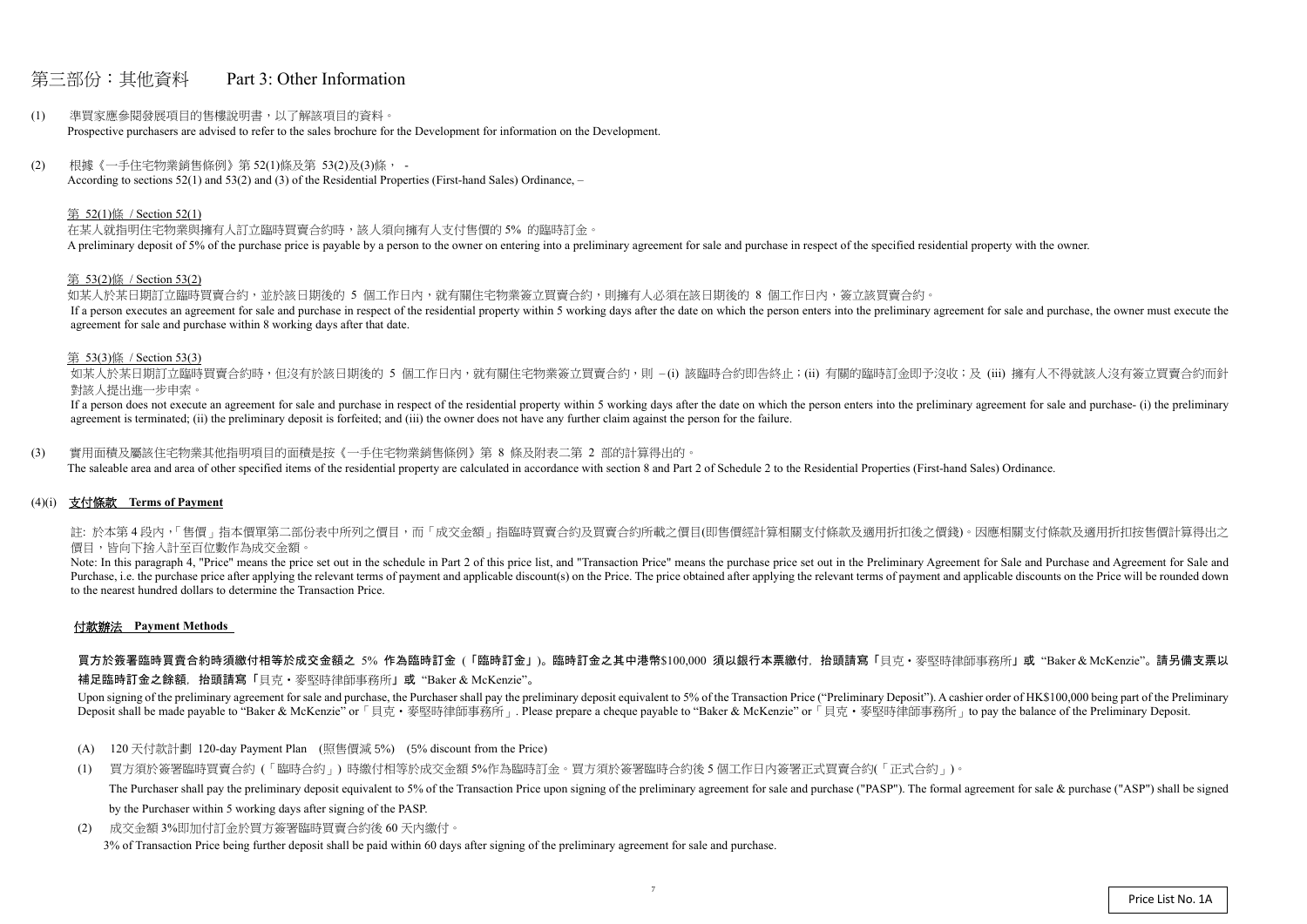## 第三部份:其他資料 Part 3: Other Information

- (1) 準買家應參閱發展項目的售樓說明書,以了解該項目的資料。 Prospective purchasers are advised to refer to the sales brochure for the Development for information on the Development.
- (2) 根據《一手住宅物業銷售條例》第 52(1)條及第 53(2)及(3)條, According to sections 52(1) and 53(2) and (3) of the Residential Properties (First-hand Sales) Ordinance, –

#### 第 52(1)條 / Section 52(1)

在某人就指明住宅物業與擁有人訂立臨時買賣合約時,該人須向擁有人支付售價的 5% 的臨時訂金。 A preliminary deposit of 5% of the purchase price is payable by a person to the owner on entering into a preliminary agreement for sale and purchase in respect of the specified residential property with the owner.

如某人於某日期訂立臨時買賣合約,並於該日期後的 5 個工作日內,就有關住宅物業簽立買賣合約,則擁有人必須在該日期後的 8 個工作日內,簽立該買賣合約。 If a person executes an agreement for sale and purchase in respect of the residential property within 5 working days after the date on which the person enters into the preliminary agreement for sale and purchase, the owner agreement for sale and purchase within 8 working days after that date.

如某人於某日期訂立臨時買賣合約時,但沒有於該日期後的 5 個工作日内,就有關住宅物業簽立買賣合約,則 –(i) 該臨時合約即告終止;(ii) 有關的臨時訂金即予沒收;及 (iii) 擁有人不得就該人沒有簽立買賣合約而針 對該人提出進一步申索。

#### 第 53(2)條 / Section 53(2)

If a person does not execute an agreement for sale and purchase in respect of the residential property within 5 working days after the date on which the person enters into the preliminary agreement for sale and purchase- ( agreement is terminated; (ii) the preliminary deposit is forfeited; and (iii) the owner does not have any further claim against the person for the failure.

註: 於本第4段内,「售價」指本價單第二部份表中所列之價目,而「成交金額」指臨時買賣合約及買賣合約所載之價目(即售價經計算相關支付條款及適用折扣後之價錢)。因應相關支付條款及適用折扣按售價計算得出之 價目,皆向下捨入計至百位數作為成交金額。

#### 第 53(3)條 / Section 53(3)

Note: In this paragraph 4, "Price" means the price set out in the schedule in Part 2 of this price list, and "Transaction Price" means the purchase price set out in the Preliminary Agreement for Sale and Purchase and Agree Purchase, i.e. the purchase price after applying the relevant terms of payment and applicable discount(s) on the Price. The price obtained after applying the relevant terms of payment and applicable discounts on the Price to the nearest hundred dollars to determine the Transaction Price.

買方於簽署臨時買賣合約時須繳付相等於成交金額之 5% 作為臨時訂金 (「臨時訂金」)。臨時訂金之其中港幣\$100,000 須以銀行本票繳付,抬頭請寫「貝克・麥堅時律師事務所」或"Baker & McKenzie"。請另備支票以 補足臨時訂金之餘額,抬頭請寫「貝克‧麥堅時律師事務所」或 "Baker & McKenzie"。

Upon signing of the preliminary agreement for sale and purchase, the Purchaser shall pay the preliminary deposit equivalent to 5% of the Transaction Price ("Preliminary Deposit"). A cashier order of HK\$100,000 being part o Deposit shall be made payable to "Baker & McKenzie" or 「貝克·麥堅時律師事務所」. Please prepare a cheque payable to "Baker & McKenzie" or 「貝克·麥堅時律師事務所」to pay the balance of the Preliminary Deposit.

(3) 實用面積及屬該住宅物業其他指明項目的面積是按《一手住宅物業銷售條例》第 8 條及附表二第 2 部的計算得出的。

The saleable area and area of other specified items of the residential property are calculated in accordance with section 8 and Part 2 of Schedule 2 to the Residential Properties (First-hand Sales) Ordinance.

## (4)(i) 支付條款 **Terms of Payment**

## 付款辦法 **Payment Methods**

- (A) 120 天付款計劃 120-day Payment Plan (照售價減 5%) (5% discount from the Price)
- (1) 買方須於簽署臨時買賣合約 (「臨時合約」) 時繳付相等於成交金額 5%作為臨時訂金。買方須於簽署臨時合約後 <sup>5</sup> 個工作日內簽署正式買賣合約(「正式合約」)。 The Purchaser shall pay the preliminary deposit equivalent to 5% of the Transaction Price upon signing of the preliminary agreement for sale and purchase ("PASP"). The formal agreement for sale & purchase ("ASP") shall be by the Purchaser within 5 working days after signing of the PASP.
- (2) 成交金額 3%即加付訂金於買方簽署臨時買賣合約後 60 天內繳付。 3% of Transaction Price being further deposit shall be paid within 60 days after signing of the preliminary agreement for sale and purchase.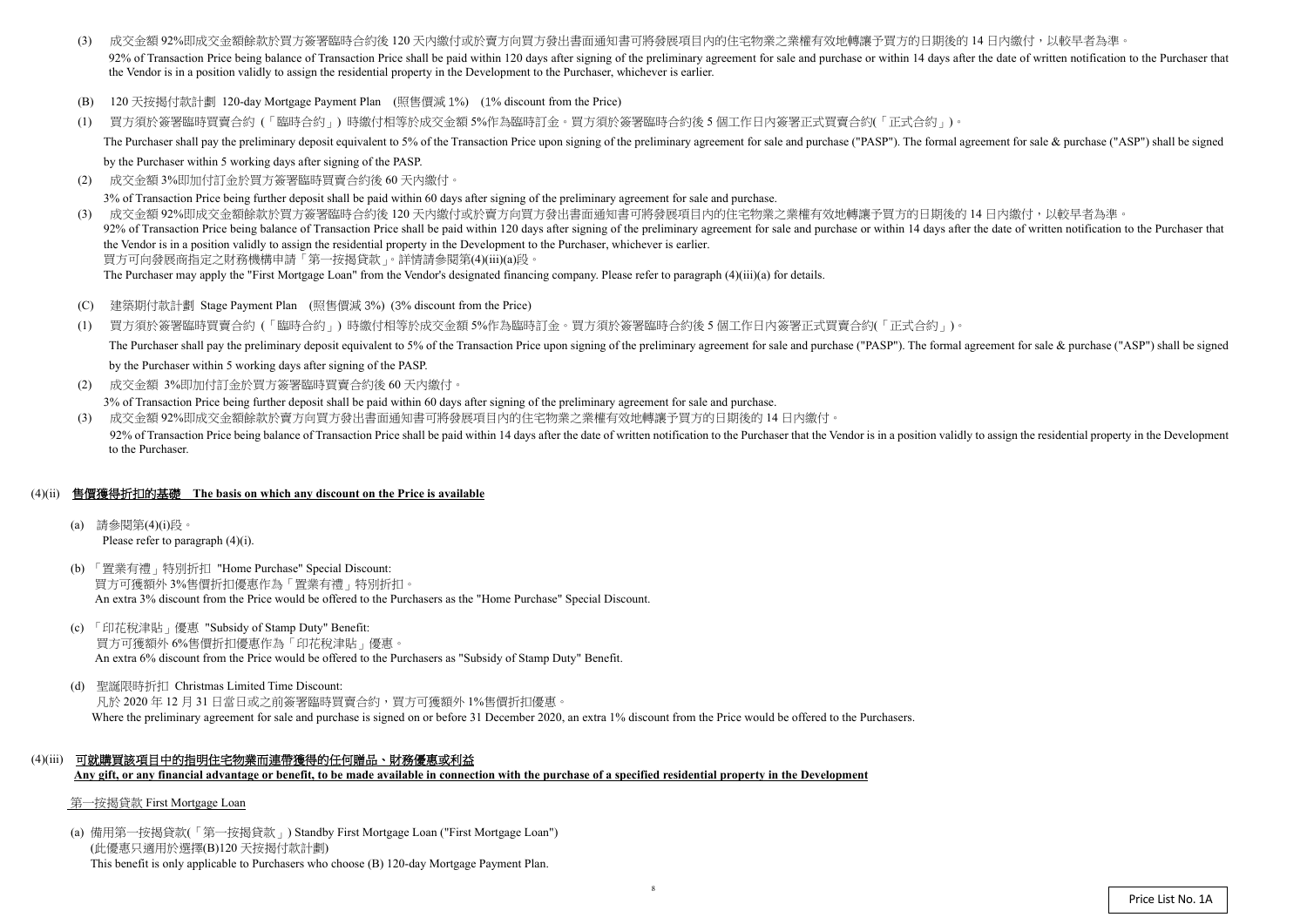- (3) 成交金額 92%即成交金額餘款於買方簽署臨時合約後 120 天內繳付或於賣方向買方發出書面通知書可將發展項目內的住宅物業之業權有效地轉讓予買方的日期後的 14 日內繳付,以較早者為準 92% of Transaction Price being balance of Transaction Price shall be paid within 120 days after signing of the preliminary agreement for sale and purchase or within 14 days after the date of written notification to the Pur the Vendor is in a position validly to assign the residential property in the Development to the Purchaser, whichever is earlier.
- (B) 120 天按揭付款計劃 120-day Mortgage Payment Plan (照售價減 1%) (1% discount from the Price)
- (1) 買方須於簽署臨時買賣合約 (「臨時合約」) 時繳付相等於成交金額 5%作為臨時訂金。買方須於簽署臨時合約後 <sup>5</sup> 個工作日內簽署正式買賣合約(「正式合約」)。 The Purchaser shall pay the preliminary deposit equivalent to 5% of the Transaction Price upon signing of the preliminary agreement for sale and purchase ("PASP"). The formal agreement for sale & purchase ("ASP") shall be

by the Purchaser within 5 working days after signing of the PASP.

(2)成交金額 3%即加付訂金於買方簽署臨時買賣合約後 <sup>60</sup> 天內繳付。

3% of Transaction Price being further deposit shall be paid within 60 days after signing of the preliminary agreement for sale and purchase.

- $(C)$ 建築期付款計劃 Stage Payment Plan (照售價減 <sup>3</sup>%) (3% discount from the Price)
- (1) 買方須於簽署臨時買賣合約 (「臨時合約」) 時繳付相等於成交金額 5%作為臨時訂金。買方須於簽署臨時合約後 <sup>5</sup> 個工作日內簽署正式買賣合約(「正式合約」)。 The Purchaser shall pay the preliminary deposit equivalent to 5% of the Transaction Price upon signing of the preliminary agreement for sale and purchase ("PASP"). The formal agreement for sale & purchase ("ASP") shall be by the Purchaser within 5 working days after signing of the PASP.
- (2) 成交金額 3%即加付訂金於買方簽署臨時買賣合約後 60 天內繳付。

(3) 成交金額 92%即成交金額餘款於買方簽署臨時合約後 <sup>120</sup> 天內繳付或於賣方向買方發出書面通知書可將發展項目內的住宅物業之業權有效地轉讓予買方的日期後的 <sup>14</sup> 日內繳付,以較早者為準。 92% of Transaction Price being balance of Transaction Price shall be paid within 120 days after signing of the preliminary agreement for sale and purchase or within 14 days after the date of written notification to the Pur the Vendor is in a position validly to assign the residential property in the Development to the Purchaser, whichever is earlier.買方可向發展商指定之財務機構申請「第一按揭貸款」。詳情請參閱第(4)(iii)(a)段。

The Purchaser may apply the "First Mortgage Loan" from the Vendor's designated financing company. Please refer to paragraph (4)(iii)(a) for details.

3% of Transaction Price being further deposit shall be paid within 60 days after signing of the preliminary agreement for sale and purchase.

(3) 成交金額 92%即成交金額餘款於賣方向買方發出書面通知書可將發展項目內的住宅物業之業權有效地轉讓予買方的日期後的 <sup>14</sup> 日內繳付。 92% of Transaction Price being balance of Transaction Price shall be paid within 14 days after the date of written notification to the Purchaser that the Vendor is in a position validly to assign the residential property i to the Purchaser.

## (4)(ii) 售價獲得折扣的基礎 **The basis on which any discount on the Price is available**

- (a) 請參閱第(4)(i)段。 Please refer to paragraph (4)(i).
- (b) 「置業有禮」特別折扣 "Home Purchase" Special Discount: 買方可獲額外 3%售價折扣優惠作為「置業有禮」特別折扣。 An extra 3% discount from the Price would be offered to the Purchasers as the "Home Purchase" Special Discount.
- (c) 「印花稅津貼」優惠 "Subsidy of Stamp Duty" Benefit: 買方可獲額外 6%售價折扣優惠作為「印花稅津貼」優惠。 An extra 6% discount from the Price would be offered to the Purchasers as "Subsidy of Stamp Duty" Benefit.
- (d) 聖誕限時折扣 Christmas Limited Time Discount: 凡於 2020 年 12 月 31 日當日或之前簽署臨時買賣合約,買方可獲額外 1%售價折扣優惠。 Where the preliminary agreement for sale and purchase is signed on or before 31 December 2020, an extra 1% discount from the Price would be offered to the Purchasers.
- (4)(iii) 可就購買該項目中的指明住宅物業而連帶獲得的任何贈品、財務優惠或利益 **Any gift, or any financial advantage or benefit, to be made available in connection with the purchase of a specified residential property in the Development**

## 第一按揭貸款 First Mortgage Loan

(a) 備用第一按揭貸款(「第一按揭貸款」) Standby First Mortgage Loan ("First Mortgage Loan") (此優惠只適用於選擇(B)120 天按揭付款計劃) This benefit is only applicable to Purchasers who choose (B) 120-day Mortgage Payment Plan.

8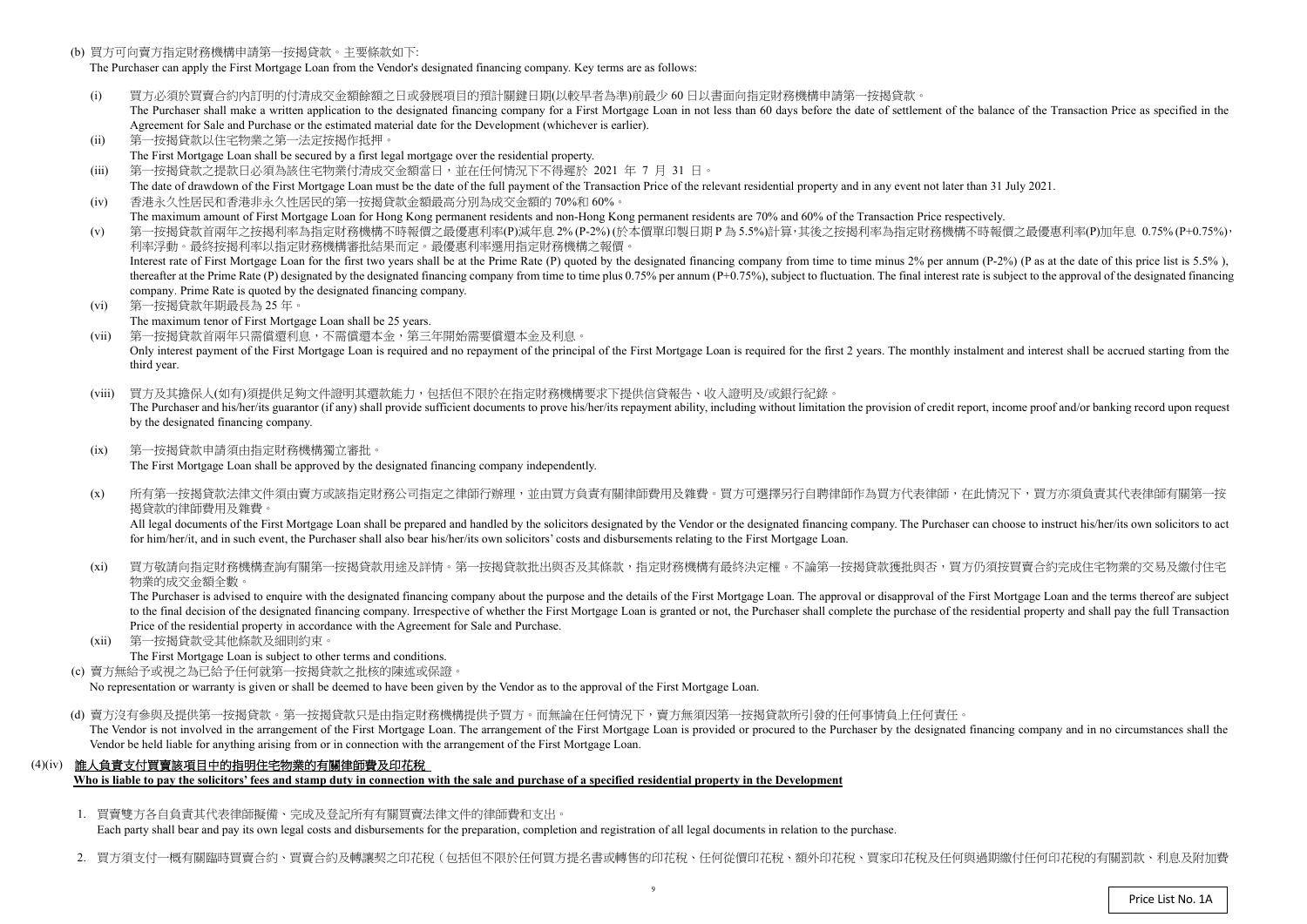(b) 買方可向賣方指定財務機構申請第一按揭貸款。主要條款如下:

The Purchaser can apply the First Mortgage Loan from the Vendor's designated financing company. Key terms are as follows:

- (i)) 買方必須於買賣合約內訂明的付清成交金額餘額之日或發展項目的預計關鍵日期(以較早者為準)前最少 60 日以書面向指定財務機構申請第一按揭貸款。<br>The Purchaser shall make a written application to the designated financing company for a First Mortgage Loan in not less than 60 days before the da The Purchaser shall make a written application to the designated financing company for a First Mortgage Loan in not less than 60 days before the date of settlement of the balance of the Transaction Price as specified in the Agreement for Sale and Purchase or the estimated material date for the Development (whichever is earlier).
- (ii)第一按揭貸款以住宅物業之第一法定按揭作抵押。
- The First Mortgage Loan shall be secured by a first legal mortgage over the residential property.
- (iii)第一按揭貸款之提款日必須為該住宅物業付清成交金額當日,並在任何情況下不得遲於 <sup>2021</sup> <sup>年</sup><sup>7</sup> <sup>月</sup> <sup>31</sup>日。
- The date of drawdown of the First Mortgage Loan must be the date of the full payment of the Transaction Price of the relevant residential property and in any event not later than 31 July 2021.  $(iv)$ 香港永久性居民和香港非永久性居民的第一按揭貸款金額最高分別為成交金額的 70%<sup>和</sup> 60%。
- The maximum amount of First Mortgage Loan for Hong Kong permanent residents and non-Hong Kong permanent residents are 70% and 60% of the Transaction Price respectively.<br>第一位担合教会员每个投提现这些生产的规模建立的一具原子的一个 (v)
- ) 第一按揭貸款首兩年之按揭利率為指定財務機構不時報價之最優惠利率(P)減年息 2% (P-2%) (於本價單印製日期 P 為 5.5%)計算,其後之按揭利率為指定財務機構不時報價之最優惠利率(P)加年息 0.75% (P+0.75%),<br>利率浮動。 最终按規利率以指定財務機構案批結果而定。 景優東利率選用指定財務機構之報價。 利率浮動。最終按揭利率以指定財務機構審批結果而定。最優惠利率選用指定財務機構之報價。Interest rate of First Mortgage Loan for the first two years shall be at the Prime Rate (P) quoted by the designated financing company from time to time minus 2% per annum (P-2%) (P as at the date of this price list is 5.5 thereafter at the Prime Rate (P) designated by the designated financing company from time to time plus 0.75% per annum (P+0.75%), subject to fluctuation. The final interest rate is subject to the approval of the designated company. Prime Rate is quoted by the designated financing company.
- (vi) 第一按揭貸款年期最長為 <sup>25</sup> 年。
	- The maximum tenor of First Mortgage Loan shall be 25 years.
- (vii) 第一按揭貸款首兩年只需償還利息,不需償還本金,第三年開始需要償還本金及利息。Only interest payment of the First Mortgage Loan is required and no repayment of the principal of the First Mortgage Loan is required for the first 2 years. The monthly instalment and interest shall be accrued starting fro third year.
- (viii) 買方及其擔保人(如有)須提供足夠文件證明其還款能力,包括但不限於在指定財務機構要求下提供信貸報告、收入證明及/或銀行紀錄。The Purchaser and his/her/its guarantor (if any) shall provide sufficient documents to prove his/her/its repayment ability, including without limitation the provision of credit report, income proof and/or banking record up by the designated financing company.
- $(ix)$  第一按揭貸款申請須由指定財務機構獨立審批。The First Mortgage Loan shall be approved by the designated financing company independently.
- $(x)$ 所有第一按揭貸款法律文件須由賣方或該指定財務公司指定之律師行辦理,並由買方負責有關律師費用及雜費。買方可選擇另行自聘律師作為買方代表律師,在此情況下,買方亦須負責其代表律師有關第一按 揭貸款的律師費用及雜費。

All legal documents of the First Mortgage Loan shall be prepared and handled by the solicitors designated by the Vendor or the designated financing company. The Purchaser can choose to instruct his/her/its own solicitors t for him/her/it, and in such event, the Purchaser shall also bear his/her/its own solicitors' costs and disbursements relating to the First Mortgage Loan.

 $(x_i)$ 買方敬請向指定財務機構查詢有關第一按揭貸款用途及詳情。第一按揭貸款批出與否及其條款,指定財務機構有最終決定權。不論第一按揭貸款獲批與否,買方仍須按買賣合約完成住宅物業的交易及繳付住宅 物業的成交金額全數。

 $(xii)$  第一按揭貸款受其他條款及細則約束。The First Mortgage Loan is subject to other terms and conditions.

(d) 賣方沒有參與及提供第一按揭貸款。第一按揭貸款只是由指定財務機構提供予買方。而無論在任何情況下,賣方無須因第一按揭貸款所引發的任何事情負上任何責任。 The Vendor is not involved in the arrangement of the First Mortgage Loan. The arrangement of the First Mortgage Loan is provided or procured to the Purchaser by the designated financing company and in no circumstances shal Vendor be held liable for anything arising from or in connection with the arrangement of the First Mortgage Loan.

 The Purchaser is advised to enquire with the designated financing company about the purpose and the details of the First Mortgage Loan. The approval or disapproval of the First Mortgage Loan and the terms thereof are subject to the final decision of the designated financing company. Irrespective of whether the First Mortgage Loan is granted or not, the Purchaser shall complete the purchase of the residential property and shall pay the full Tra Price of the residential property in accordance with the Agreement for Sale and Purchase.

(c) 賣方無給予或視之為已給予任何就第一按揭貸款之批核的陳述或保證。

No representation or warranty is <sup>g</sup>iven or shall be deemed to have been given by the Vendor as to the approval of the First Mortgage Loan.

## (4)(iv) 誰人負責支付買賣該項目中的指明住宅物業的有關律師費及印花稅

**Who is liable to pay the solicitors' fees and stamp duty in connection with the sale and purchase of a specified residential property in the Development** 

1. 買賣雙方各自負責其代表律師擬備、完成及登記所有有關買賣法律文件的律師費和支出。

Each party shall bear and pay its own legal costs and disbursements for the preparation, completion and registration of all legal documents in relation to the purchase.

2. 買方須支付一概有關臨時買賣合約、買賣合約及轉讓契之印花稅(包括但不限於任何買方提名書或轉售的印花稅、任何從價印花稅、額外印花稅、買家印花稅及任何與過期繳付任何印花稅的有關罰款、利息及附加費